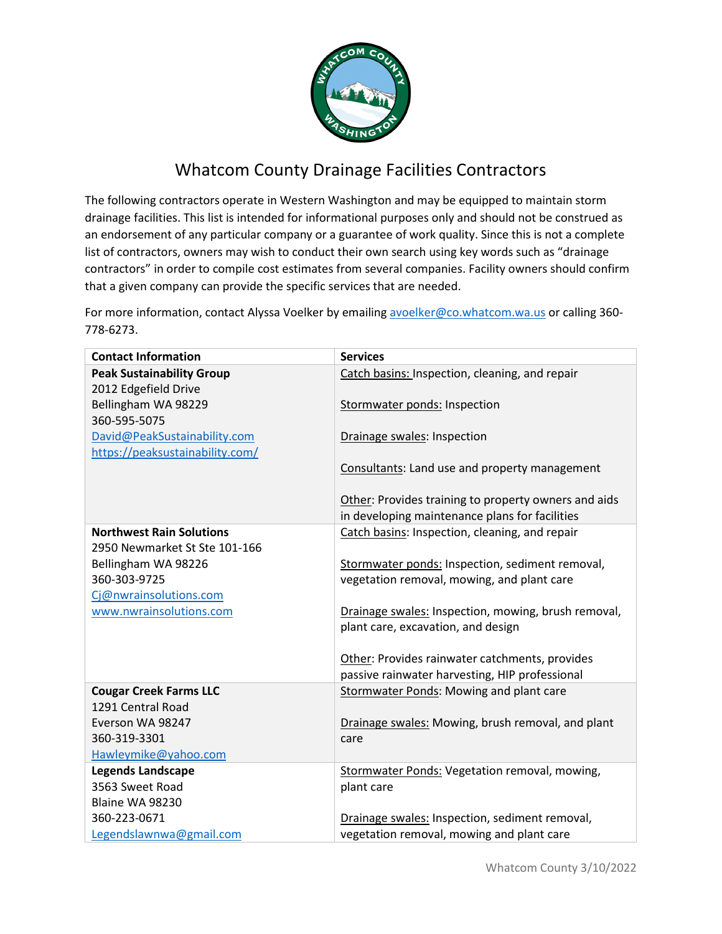

## Whatcom County Drainage Facilities Contractors

The following contractors operate in Western Washington and may be equipped to maintain storm drainage facilities. This list is intended for informational purposes only and should not be construed as an endorsement of any particular company or a guarantee of work quality. Since this is not a complete list of contractors, owners may wish to conduct their own search using key words such as "drainage contractors" in order to compile cost estimates from several companies. Facility owners should confirm that a given company can provide the specific services that are needed.

For more information, contact Alyssa Voelker by emailing [avoelker@co.whatcom.wa.us](mailto:avoelker@co.whatcom.wa.us) or calling 360-778-6273.

| <b>Contact Information</b>          | <b>Services</b>                                      |
|-------------------------------------|------------------------------------------------------|
| <b>Peak Sustainability Group</b>    | Catch basins: Inspection, cleaning, and repair       |
| 2012 Edgefield Drive                |                                                      |
| Bellingham WA 98229                 | Stormwater ponds: Inspection                         |
| 360-595-5075                        |                                                      |
| David@PeakSustainability.com        | Drainage swales: Inspection                          |
| https://peaksustainability.com/     |                                                      |
|                                     | Consultants: Land use and property management        |
|                                     |                                                      |
|                                     | Other: Provides training to property owners and aids |
|                                     | in developing maintenance plans for facilities       |
| <b>Northwest Rain Solutions</b>     | Catch basins: Inspection, cleaning, and repair       |
| 2950 Newmarket St Ste 101-166       |                                                      |
| Bellingham WA 98226<br>360-303-9725 | Stormwater ponds: Inspection, sediment removal,      |
|                                     | vegetation removal, mowing, and plant care           |
| Cj@nwrainsolutions.com              |                                                      |
| www.nwrainsolutions.com             | Drainage swales: Inspection, mowing, brush removal,  |
|                                     | plant care, excavation, and design                   |
|                                     | Other: Provides rainwater catchments, provides       |
|                                     | passive rainwater harvesting, HIP professional       |
| <b>Cougar Creek Farms LLC</b>       | Stormwater Ponds: Mowing and plant care              |
| 1291 Central Road                   |                                                      |
| Everson WA 98247                    | Drainage swales: Mowing, brush removal, and plant    |
| 360-319-3301                        | care                                                 |
| Hawleymike@yahoo.com                |                                                      |
| <b>Legends Landscape</b>            | Stormwater Ponds: Vegetation removal, mowing,        |
| 3563 Sweet Road                     | plant care                                           |
| Blaine WA 98230                     |                                                      |
| 360-223-0671                        | Drainage swales: Inspection, sediment removal,       |
| Legendslawnwa@gmail.com             | vegetation removal, mowing and plant care            |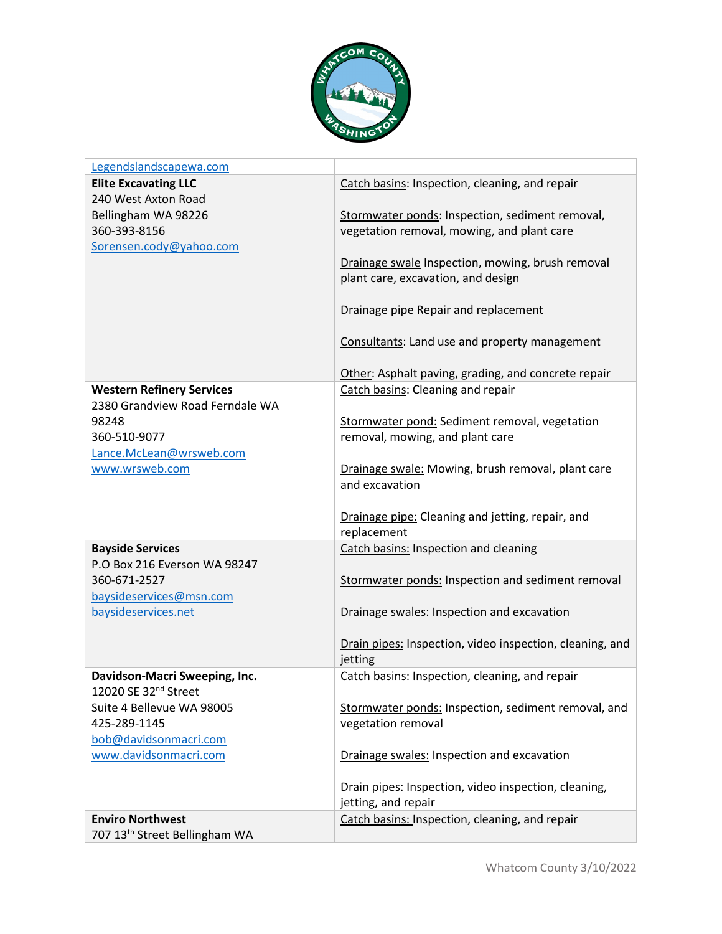

| Legendslandscapewa.com                    |                                                          |
|-------------------------------------------|----------------------------------------------------------|
| <b>Elite Excavating LLC</b>               | Catch basins: Inspection, cleaning, and repair           |
| 240 West Axton Road                       |                                                          |
| Bellingham WA 98226                       | Stormwater ponds: Inspection, sediment removal,          |
| 360-393-8156                              | vegetation removal, mowing, and plant care               |
| Sorensen.cody@yahoo.com                   |                                                          |
|                                           | Drainage swale Inspection, mowing, brush removal         |
|                                           | plant care, excavation, and design                       |
|                                           |                                                          |
|                                           | Drainage pipe Repair and replacement                     |
|                                           |                                                          |
|                                           | Consultants: Land use and property management            |
|                                           |                                                          |
|                                           | Other: Asphalt paving, grading, and concrete repair      |
| <b>Western Refinery Services</b>          | Catch basins: Cleaning and repair                        |
| 2380 Grandview Road Ferndale WA           |                                                          |
| 98248                                     | Stormwater pond: Sediment removal, vegetation            |
| 360-510-9077                              | removal, mowing, and plant care                          |
| Lance.McLean@wrsweb.com                   |                                                          |
| www.wrsweb.com                            | Drainage swale: Mowing, brush removal, plant care        |
|                                           | and excavation                                           |
|                                           |                                                          |
|                                           | Drainage pipe: Cleaning and jetting, repair, and         |
|                                           | replacement                                              |
| <b>Bayside Services</b>                   | Catch basins: Inspection and cleaning                    |
| P.O Box 216 Everson WA 98247              |                                                          |
| 360-671-2527                              | Stormwater ponds: Inspection and sediment removal        |
| baysideservices@msn.com                   |                                                          |
| baysideservices.net                       | Drainage swales: Inspection and excavation               |
|                                           |                                                          |
|                                           | Drain pipes: Inspection, video inspection, cleaning, and |
|                                           | jetting                                                  |
| Davidson-Macri Sweeping, Inc.             | Catch basins: Inspection, cleaning, and repair           |
| 12020 SE 32 <sup>nd</sup> Street          |                                                          |
| Suite 4 Bellevue WA 98005                 | Stormwater ponds: Inspection, sediment removal, and      |
| 425-289-1145                              | vegetation removal                                       |
| bob@davidsonmacri.com                     |                                                          |
| www.davidsonmacri.com                     | Drainage swales: Inspection and excavation               |
|                                           |                                                          |
|                                           | Drain pipes: Inspection, video inspection, cleaning,     |
|                                           | jetting, and repair                                      |
| <b>Enviro Northwest</b>                   | Catch basins: Inspection, cleaning, and repair           |
| 707 13 <sup>th</sup> Street Bellingham WA |                                                          |